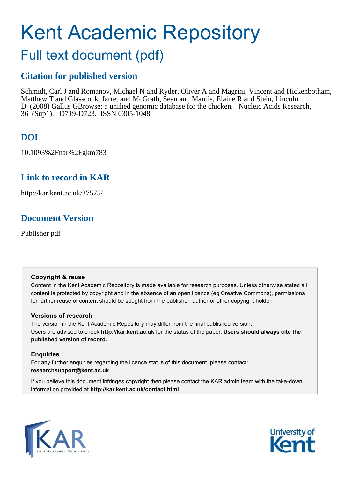# Kent Academic Repository

# Full text document (pdf)

## **Citation for published version**

Schmidt, Carl J and Romanov, Michael N and Ryder, Oliver A and Magrini, Vincent and Hickenbotham, Matthew T and Glasscock, Jarret and McGrath, Sean and Mardis, Elaine R and Stein, Lincoln D (2008) Gallus GBrowse: a unified genomic database for the chicken. Nucleic Acids Research, 36 (Sup1). D719-D723. ISSN 0305-1048.

## **DOI**

10.1093%2Fnar%2Fgkm783

## **Link to record in KAR**

http://kar.kent.ac.uk/37575/

## **Document Version**

Publisher pdf

#### **Copyright & reuse**

Content in the Kent Academic Repository is made available for research purposes. Unless otherwise stated all content is protected by copyright and in the absence of an open licence (eg Creative Commons), permissions for further reuse of content should be sought from the publisher, author or other copyright holder.

#### **Versions of research**

The version in the Kent Academic Repository may differ from the final published version. Users are advised to check **http://kar.kent.ac.uk** for the status of the paper. **Users should always cite the published version of record.**

#### **Enquiries**

For any further enquiries regarding the licence status of this document, please contact: **researchsupport@kent.ac.uk**

If you believe this document infringes copyright then please contact the KAR admin team with the take-down information provided at **http://kar.kent.ac.uk/contact.html**



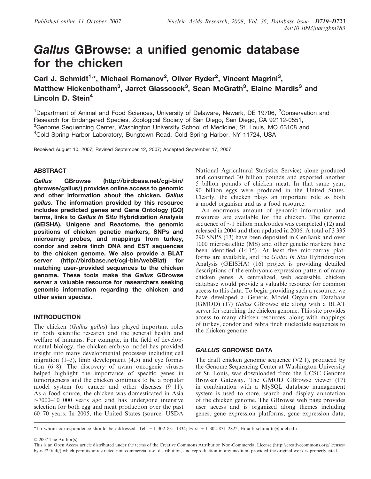## Gallus GBrowse: a unified genomic database for the chicken

Carl J. Schmidt<sup>1,\*</sup>, Michael Romanov<sup>2</sup>, Oliver Ryder<sup>2</sup>, Vincent Magrini<sup>3</sup>, Matthew Hickenbotham<sup>3</sup>, Jarret Glasscock<sup>3</sup>, Sean McGrath<sup>3</sup>, Elaine Mardis<sup>3</sup> and Lincoln D. Stein $<sup>4</sup>$ </sup>

<sup>1</sup>Department of Animal and Food Sciences, University of Delaware, Newark, DE 19706, <sup>2</sup>Conservation and Research for Endangered Species, Zoological Society of San Diego, San Diego, CA 92112-0551, <sup>3</sup>Genome Sequencing Center, Washington University School of Medicine, St. Louis, MO 63108 and <sup>4</sup>Cold Spring Harbor Laboratory, Bungtown Road, Cold Spring Harbor, NY 11724, USA

Received August 10, 2007; Revised September 12, 2007; Accepted September 17, 2007

#### ABSTRACT

Gallus GBrowse [\(http://birdbase.net/cgi-bin/](http://birdbase.net/cgi-bin/) gbrowse/gallus/) provides online access to genomic and other information about the chicken, Gallus gallus. The information provided by this resource includes predicted genes and Gene Ontology (GO) terms, links to Gallus In Situ Hybridization Analysis (GEISHA), Unigene and Reactome, the genomic positions of chicken genetic markers, SNPs and microarray probes, and mappings from turkey, condor and zebra finch DNA and EST sequences to the chicken genome. We also provide a BLAT server [\(http://birdbase.net/cgi-bin/webBlat\)](http://birdbase.net/cgi-bin/webBlat) for matching user-provided sequences to the chicken genome. These tools make the Gallus GBrowse server a valuable resource for researchers seeking genomic information regarding the chicken and other avian species.

#### INTRODUCTION

The chicken (*Gallus gallus*) has played important roles in both scientific research and the general health and welfare of humans. For example, in the field of developmental biology, the chicken embryo model has provided insight into many developmental processes including cell migration  $(1-3)$ , limb development  $(4,5)$  and eye formation (6–8). The discovery of avian oncogenic viruses helped highlight the importance of specific genes in tumorigenesis and the chicken continues to be a popular model system for cancer and other diseases (9–11). As a food source, the chicken was domesticated in Asia  $\sim$ 7000–10 000 years ago and has undergone intensive selection for both egg and meat production over the past 60–70 years. In 2005, the United States (source: USDA National Agricultural Statistics Service) alone produced and consumed 30 billion pounds and exported another 5 billion pounds of chicken meat. In that same year, 90 billion eggs were produced in the United States. Clearly, the chicken plays an important role as both a model organism and as a food resource.

An enormous amount of genomic information and resources are available for the chicken. The genomic sequence of  $\sim$ 1 billion nucleotides was completed (12) and released in 2004 and then updated in 2006. A total of 3 335 290 SNPS (13) have been deposited in GenBank and over 1000 microsatellite (MS) and other genetic markers have been identified (14,15). At least five microarray platforms are available, and the *Gallus In Situ* Hybridization Analysis (GEISHA) (16) project is providing detailed descriptions of the embryonic expression pattern of many chicken genes. A centralized, web accessible, chicken database would provide a valuable resource for common access to this data. To begin providing such a resource, we have developed a Generic Model Organism Database (GMOD) (17) *Gallus* GBrowse site along with a BLAT server for searching the chicken genome. This site provides access to many chicken resources, along with mappings of turkey, condor and zebra finch nucleotide sequences to the chicken genome.

#### GALLUS GBROWSE DATA

The draft chicken genomic sequence (V2.1), produced by the Genome Sequencing Center at Washington University of St. Louis, was downloaded from the UCSC Genome Browser Gateway. The GMOD GBrowse viewer (17) in combination with a MySQL database management system is used to store, search and display annotation of the chicken genome. The GBrowse web page provides user access and is organized along themes including genes, gene expression platforms, gene expression data,

\*To whom correspondence should be addressed. Tel: +1 302 831 1334; Fax: +1 302 831 2822; Email: schmidtc@udel.edu

2007 The Author(s)

This is an Open Access article distributed under the terms of the Creative Commons Attribution Non-Commercial License (<http://creativecommons.org/licenses/> by-nc/2.0/uk/) which permits unrestricted non-commercial use, distribution, and reproduction in any medium, provided the original work is properly cited.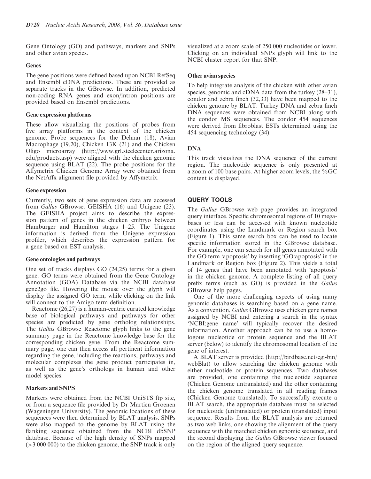Gene Ontology (GO) and pathways, markers and SNPs and other avian species.

#### Genes

The gene positions were defined based upon NCBI RefSeq and Ensembl cDNA predictions. These are provided as separate tracks in the GBrowse. In addition, predicted non-coding RNA genes and exon/intron positions are provided based on Ensembl predictions.

#### Gene expression platforms

These allow visualizing the positions of probes from five array platforms in the context of the chicken genome. Probe sequences for the Delmar (18), Avian Macrophage (19,20), Chicken 13K (21) and the Chicken Oligo microarray [\(http://www.grl.steelecenter.arizona.](http://www.grl.steelecenter.arizona) edu/products.asp) were aligned with the chicken genomic sequence using BLAT (22). The probe positions for the Affymetrix Chicken Genome Array were obtained from the NetAffx alignment file provided by Affymetrix.

#### Gene expression

Currently, two sets of gene expression data are accessed from *Gallus* GBrowse: GEISHA (16) and Unigene (23). The GEISHA project aims to describe the expression pattern of genes in the chicken embryo between Hamburger and Hamilton stages 1–25. The Unigene information is derived from the Unigene expression profiler, which describes the expression pattern for a gene based on EST analysis.

#### Gene ontologies and pathways

One set of tracks displays GO (24,25) terms for a given gene. GO terms were obtained from the Gene Ontology Annotation (GOA) Database via the NCBI database gene2go file. Hovering the mouse over the glyph will display the assigned GO term, while clicking on the link will connect to the Amigo term definition.

Reactome (26,27) is a human-centric curated knowledge base of biological pathways and pathways for other species are predicted by gene ortholog relationships. The *Gallus* GBrowse Reactome glyph links to the gene summary page in the Reactome knowledge base for the corresponding chicken gene. From the Reactome summary page, one can then access all pertinent information regarding the gene, including the reactions, pathways and molecular complexes the gene product participates in, as well as the gene's orthologs in human and other model species.

#### Markers and SNPS

Markers were obtained from the NCBI UniSTS ftp site, or from a sequence file provided by Dr Martien Groenen (Wageningen University). The genomic locations of these sequences were then determined by BLAT analysis. SNPs were also mapped to the genome by BLAT using the flanking sequence obtained from the NCBI dbSNP database. Because of the high density of SNPs mapped (>3 000 000) to the chicken genome, the SNP track is only visualized at a zoom scale of 250 000 nucleotides or lower. Clicking on an individual SNPs glyph will link to the NCBI cluster report for that SNP.

#### Other avian species

To help integrate analysis of the chicken with other avian species, genomic and cDNA data from the turkey (28–31), condor and zebra finch (32,33) have been mapped to the chicken genome by BLAT. Turkey DNA and zebra finch DNA sequences were obtained from NCBI along with the condor MS sequences. The condor 454 sequences were derived from fibroblast ESTs determined using the 454 sequencing technology (34).

#### DNA

This track visualizes the DNA sequence of the current region. The nucleotide sequence is only presented at a zoom of 100 base pairs. At higher zoom levels, the  $\%$ GC content is displayed.

#### QUERY TOOLS

The *Gallus* GBrowse web page provides an integrated query interface. Specific chromosomal regions of 10 megabases or less can be accessed with known nucleotide coordinates using the Landmark or Region search box (Figure 1). This same search box can be used to locate specific information stored in the GBrowse database. For example, one can search for all genes annotated with the GO term 'apoptosis' by inserting 'GO:apoptosis' in the Landmark or Region box (Figure 2). This yields a total of 14 genes that have been annotated with 'apoptosis' in the chicken genome. A complete listing of all query prefix terms (such as GO) is provided in the *Gallus* GBrowse help pages.

One of the more challenging aspects of using many genomic databases is searching based on a gene name. As a convention, *Gallus* GBrowse uses chicken gene names assigned by NCBI and entering a search in the syntax 'NCBI:gene name' will typically recover the desired information. Another approach can be to use a homologous nucleotide or protein sequence and the BLAT server (below) to identify the chromosomal location of the gene of interest.

A BLAT server is provided (<http://birdbase.net/cgi-bin/> webBlat) to allow searching the chicken genome with either nucleotide or protein sequences. Two databases are provided, one containing the nucleotide sequence (Chicken Genome untranslated) and the other containing the chicken genome translated in all reading frames (Chicken Genome translated). To successfully execute a BLAT search, the appropriate database must be selected for nucleotide (untranslated) or protein (translated) input sequence. Results from the BLAT analysis are returned as two web links, one showing the alignment of the query sequence with the matched chicken genomic sequence, and the second displaying the *Gallus* GBrowse viewer focused on the region of the aligned query sequence.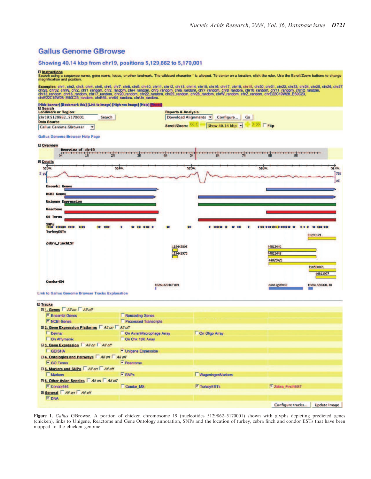#### **Gallus Genome GBrowse**

#### Showing 40.14 kbp from chr19, positions 5,129,862 to 5,170,001

# El Instructions<br>Search using a sequence name, gene name, locus, or other landmark. The wildcard character \* is allowed. To center on a location, click the ruler. Use the Scroll/Zoom buttons to change<br>magnification and posi

Examples: chr1, chr2, chr3, chr4, chr5, chr6, chr7, chr8, chr9, chr10, chr11, chr12, chr13, chr14, chr15, chr18, chr18, chr19, chr29, chr29, chr22, chr23, chr24, chr25, chr26, chr27, chr27, chr3, chr3, chr3, chr3, chr3, ch



**Link to Gallus Genome Browser Tracks Explanation** 

| <b>El Tracks</b>                                    |                                  |                          |                                         |  |  |  |  |
|-----------------------------------------------------|----------------------------------|--------------------------|-----------------------------------------|--|--|--|--|
| □ 1. Genes All on All off                           |                                  |                          |                                         |  |  |  |  |
| <sup>V</sup> Ensembl Genes                          | Noncoding Genes                  |                          |                                         |  |  |  |  |
| V NCBI Genes                                        | <b>Processed Transcripts</b>     |                          |                                         |  |  |  |  |
| El 2. Gene Expression Platforms   All on   All off  |                                  |                          |                                         |  |  |  |  |
| Delmar                                              | On AvianMacrophage Array         | On Oligo Array           |                                         |  |  |  |  |
| On Affymetrix                                       | On Chk 13K Array                 |                          |                                         |  |  |  |  |
| E 3. Gene Expression All on All off                 |                                  |                          |                                         |  |  |  |  |
| GEISHA                                              | V Unigene Expression             |                          |                                         |  |  |  |  |
| □ 4. Ontologies and Pathways All on All off         |                                  |                          |                                         |  |  |  |  |
| GO Terms                                            | $ightharpoonup$ Reactome         |                          |                                         |  |  |  |  |
| <b>El 5. Markers and SNPs</b> All on All off        |                                  |                          |                                         |  |  |  |  |
| <b>Markers</b>                                      | $\overline{\triangleright}$ SNPs | <b>WageningenMarkers</b> |                                         |  |  |  |  |
| <b>El 6. Other Avian Species   All on   All off</b> |                                  |                          |                                         |  |  |  |  |
| $\sqrt{\phantom{a}}$ Condor454                      | Condor MS                        | V TurkeyESTs             | <b>Y</b> Zebra FinchEST                 |  |  |  |  |
| <b>El General</b> All on All off                    |                                  |                          |                                         |  |  |  |  |
| $\overline{\triangleright}$ DNA                     |                                  |                          |                                         |  |  |  |  |
|                                                     |                                  |                          | Configure tracks<br><b>Update Image</b> |  |  |  |  |

Figure 1. *Gallus* GBrowse. A portion of chicken chromosome 19 (nucleotides 5129862-5170001) shown with glyphs depicting predicted genes (chicken), links to Unigene, Reactome and Gene Ontology annotation, SNPs and the location of turkey, zebra finch and condor ESTs that have been mapped to the chicken genome.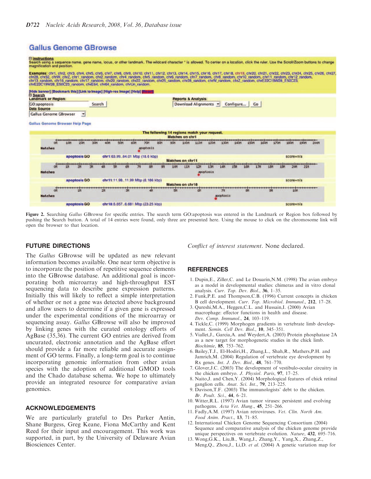#### **Gallus Genome GBrowse**

El Instructions<br>Search using a sequence name, gene name, locus, or other landmark. The wildcard character \* is allowed. To center on a location, click the ruler. Use the Scroll/Zoom buttons to change<br>magnification and posi

Examples: chr1, chr2, chr3, chr4, chr5, chr6, chr7, chr8, chr9, chr10, chr11, chr12, chr13, chr14, chr15, chr18, chr18, chr19, chr2, chr2, chr22, chr22, chr23, chr24, chr25, chr26, chr27, chr2, chr2, chr2, chr2, chr2, chr1

| <b>Landmark or Region:</b>             |                          |        |    |    |                                              |                         | <b>Reports &amp; Analysis:</b> |    |           |           |           |    |    |                         |             |            |      |
|----------------------------------------|--------------------------|--------|----|----|----------------------------------------------|-------------------------|--------------------------------|----|-----------|-----------|-----------|----|----|-------------------------|-------------|------------|------|
| <b>GO:apoptosis</b>                    |                          | Search |    |    |                                              |                         | Download Alignments            |    |           |           | Configure |    | Co |                         |             |            |      |
| <b>Data Source</b>                     |                          |        |    |    |                                              |                         |                                |    |           |           |           |    |    |                         |             |            |      |
| <b>Gallus Genome GBrowser</b>          | $\overline{\phantom{a}}$ |        |    |    |                                              |                         |                                |    |           |           |           |    |    |                         |             |            |      |
| <b>Gallus Genome Browser Help Page</b> |                          |        |    |    |                                              |                         |                                |    |           |           |           |    |    |                         |             |            |      |
|                                        |                          |        |    |    |                                              |                         |                                |    |           |           |           |    |    |                         |             |            |      |
|                                        |                          |        |    |    | The following 14 regions match your request. |                         |                                |    |           |           |           |    |    |                         |             |            |      |
|                                        |                          |        |    |    |                                              |                         | <b>Matches on chr1</b>         |    |           |           |           |    |    |                         |             |            |      |
| ON                                     |                          |        |    |    |                                              |                         |                                |    |           |           |           |    |    |                         |             |            | 200M |
| <b>Hatches</b>                         |                          |        |    |    | apoptosis                                    |                         |                                |    |           |           |           |    |    |                         |             |            |      |
|                                        | apoptosis GO             |        |    |    | chr1:63.9964.01 Mbp (18.6 kbp)               |                         |                                |    |           |           |           |    |    |                         | $score=n/a$ |            |      |
|                                        |                          |        |    |    |                                              | <b>Matches on chr11</b> |                                |    |           |           |           |    |    |                         |             |            |      |
|                                        |                          |        |    |    |                                              |                         |                                |    |           |           |           |    |    | 17M 18M 19M 20M 21M 17M |             |            |      |
| <b>Matches</b>                         |                          |        |    |    |                                              |                         |                                |    | apoptosis |           |           |    |    |                         |             |            |      |
|                                        | apoptosis GO             |        |    |    | chr11:11.9811.99 Mbp (8.186 kbp)             |                         |                                |    |           |           |           |    |    |                         | $score=n/a$ |            |      |
|                                        |                          |        |    |    |                                              | Matches on chr18        |                                |    |           |           |           |    |    |                         |             |            |      |
| ON                                     |                          |        | zn | ЗM |                                              |                         |                                | 6М |           | УΜ        |           | 8M |    |                         |             | <b>10M</b> |      |
| <b>Hatches</b>                         |                          |        |    |    |                                              |                         |                                |    |           | apoptosis |           |    |    |                         |             |            |      |
|                                        |                          |        |    |    |                                              |                         |                                |    |           |           |           |    |    |                         |             |            |      |
|                                        | apoptosis GO             |        |    |    | chr18:6.6576.681 Mbp (23.25 kbp)             |                         |                                |    |           |           |           |    |    |                         | score=n/a   |            |      |

Figure 2. Searching *Gallus* GBrowse for specific entries. The search term GO:apoptosis was entered in the Landmark or Region box followed by pushing the Search button. A total of 14 entries were found, only three are presented here. Using the mouse to click on the chromosome link will open the browser to that location.

#### FUTURE DIRECTIONS

The *Gallus* GBrowse will be updated as new relevant information becomes available. One near term objective is to incorporate the position of repetitive sequence elements into the GBrowse database. An additional goal is incorporating both microarray and high-throughput EST sequencing data to describe gene expression patterns. Initially this will likely to reflect a simple interpretation of whether or not a gene was detected above background and allow users to determine if a given gene is expressed under the experimental conditions of the microarray or sequencing assay. *Gallus* GBrowse will also be improved by linking genes with the curated ontology efforts of AgBase (35,36). The current GO entries are derived from uncurated, electronic annotation and the AgBase effort should provide a far more reliable and accurate assignment of GO terms. Finally, a long-term goal is to continue incorporating genomic information from other avian species with the adoption of additional GMOD tools and the Chado database schema. We hope to ultimately provide an integrated resource for comparative avian genomics.

#### ACKNOWLEDGEMENTS

We are particularly grateful to Drs Parker Antin, Shane Burgess, Greg Keane, Fiona McCarthy and Kent Reed for their input and encouragement. This work was supported, in part, by the University of Delaware Avian Biosciences Center.

*Conflict of interest statement*. None declared.

#### **REFERENCES**

- 1. Dupin,E., Ziller,C. and Le Douarin,N.M. (1998) The avian embryo as a model in developmental studies: chimeras and in vitro clonal analysis. *Curr. Top. Dev. Biol.*, 36, 1–35.
- 2. Funk,P.E. and Thompson,C.B. (1996) Current concepts in chicken B cell development. *Curr. Top. Microbiol. Immunol.*, 212, 17–28.
- 3. Qureshi,M.A., Heggen,C.L. and Hussain,I. (2000) Avian macrophage: effector functions in health and disease. *Dev. Comp. Immunol.*, 24, 103–119.
- 4. Tickle,C. (1999) Morphogen gradients in vertebrate limb development. *Semin. Cell Dev. Biol.*, 10, 345–351.
- 5. Viallet,J., Garcia,A. and Weydert,A. (2003) Protein phosphatase 2A as a new target for morphogenetic studies in the chick limb. *Biochimie*, 85, 753–762.
- 6. Bailey,T.J., El-Hodiri,H., Zhang,L., Shah,R., Mathers,P.H. and Jamrich,M. (2004) Regulation of vertebrate eye development by Rx genes. *Int. J. Dev. Biol.*, 48, 761–770.
- 7. Glover,J.C. (2003) The development of vestibulo-ocular circuitry in the chicken embryo. *J. Physiol. Paris*, 97, 17–25.
- 8. Naito,J. and Chen,Y. (2004) Morphological features of chick retinal ganglion cells. *Anat. Sci. Int.*, 79, 213–225.
- 9. Davison,T.F. (2003) The immunologists' debt to the chicken. *Br. Poult. Sci.*, 44, 6–21.
- 10. Witter,R.L. (1997) Avian tumor viruses: persistent and evolving pathogens. *Acta Vet. Hung.*, 45, 251–266.
- 11. Fadly,A.M. (1997) Avian retroviruses. *Vet. Clin. North Am. Food Anim. Pract.*, 13, 71–85.
- 12. International Chicken Genome Sequencing Consortium (2004) Sequence and comparative analysis of the chicken genome provide unique perspectives on vertebrate evolution. *Nature*, 432, 695–716.
- 13. Wong,G.K., Liu,B., Wang,J., Zhang,Y., Yang,X., Zhang,Z., Meng,Q., Zhou,J., Li,D. *et al*. (2004) A genetic variation map for